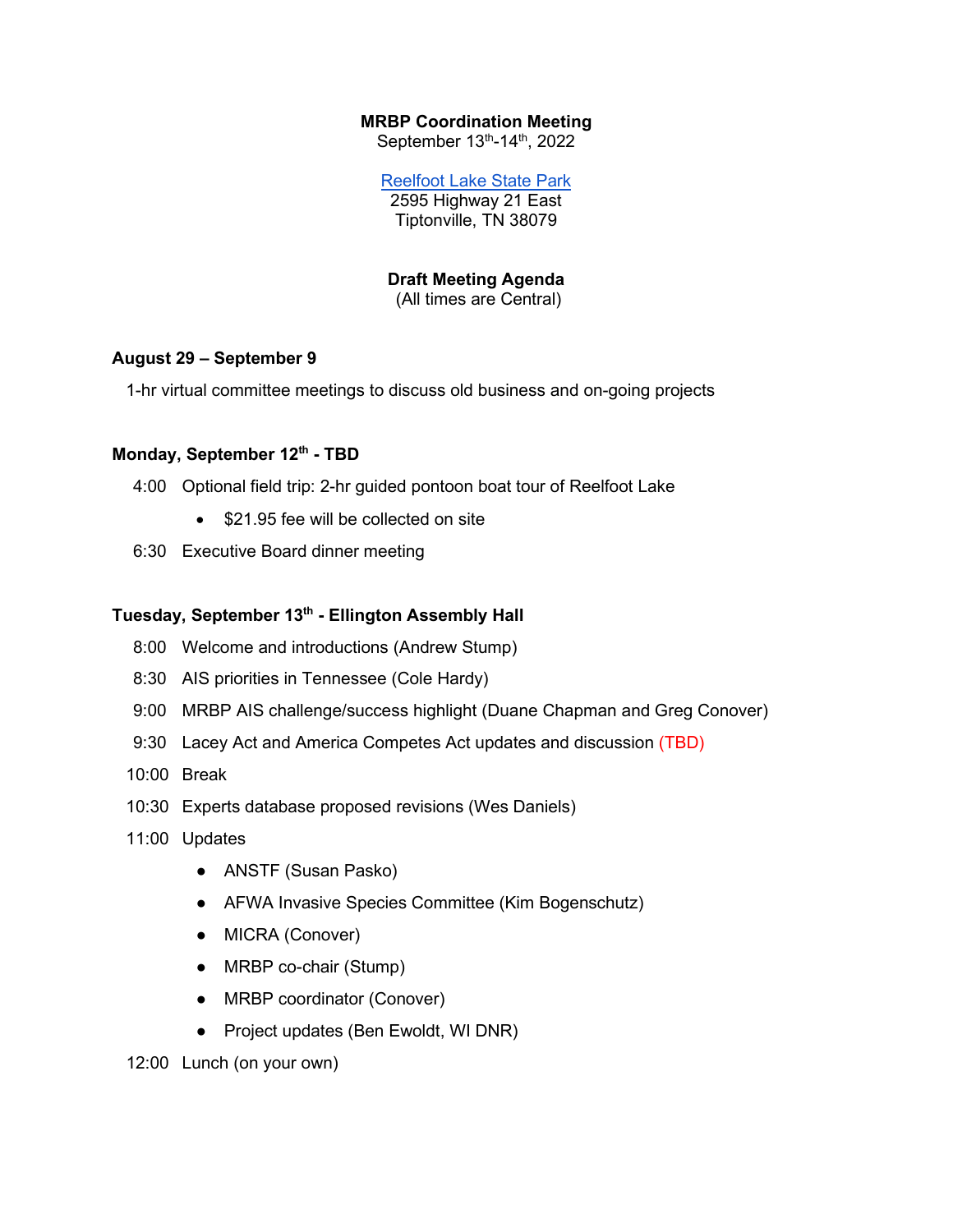## **MRBP Coordination Meeting**

September 13th-14th, 2022

[Reelfoot Lake State Park](https://tnstateparks.com/parks/reelfoot-lake) 2595 Highway 21 East Tiptonville, TN 38079

**Draft Meeting Agenda**

(All times are Central)

## **August 29 – September 9**

1-hr virtual committee meetings to discuss old business and on-going projects

## Monday, September 12<sup>th</sup> - TBD

- 4:00 Optional field trip: 2-hr guided pontoon boat tour of Reelfoot Lake
	- \$21.95 fee will be collected on site
- 6:30 Executive Board dinner meeting

## Tuesday, September 13<sup>th</sup> - Ellington Assembly Hall

- 8:00 Welcome and introductions (Andrew Stump)
- 8:30 AIS priorities in Tennessee (Cole Hardy)
- 9:00 MRBP AIS challenge/success highlight (Duane Chapman and Greg Conover)
- 9:30 Lacey Act and America Competes Act updates and discussion (TBD)
- 10:00 Break
- 10:30 Experts database proposed revisions (Wes Daniels)
- 11:00 Updates
	- ANSTF (Susan Pasko)
	- AFWA Invasive Species Committee (Kim Bogenschutz)
	- MICRA (Conover)
	- MRBP co-chair (Stump)
	- MRBP coordinator (Conover)
	- Project updates (Ben Ewoldt, WI DNR)

12:00 Lunch (on your own)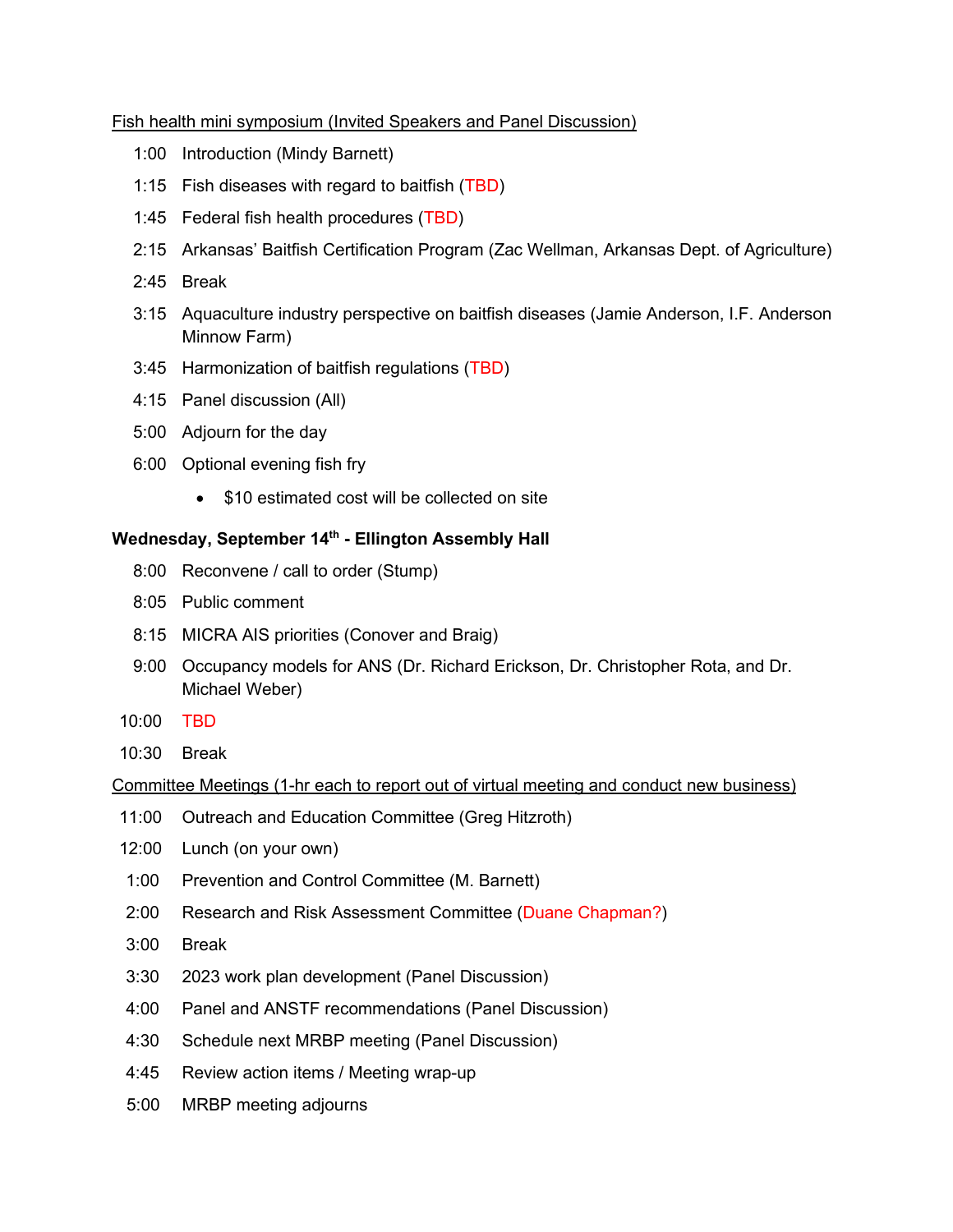## Fish health mini symposium (Invited Speakers and Panel Discussion)

- 1:00 Introduction (Mindy Barnett)
- 1:15 Fish diseases with regard to baitfish (TBD)
- 1:45 Federal fish health procedures (TBD)
- 2:15 Arkansas' Baitfish Certification Program (Zac Wellman, Arkansas Dept. of Agriculture)
- 2:45 Break
- 3:15 Aquaculture industry perspective on baitfish diseases (Jamie Anderson, I.F. Anderson Minnow Farm)
- 3:45 Harmonization of baitfish regulations (TBD)
- 4:15 Panel discussion (All)
- 5:00 Adjourn for the day
- 6:00 Optional evening fish fry
	- \$10 estimated cost will be collected on site

# Wednesday, September 14<sup>th</sup> - Ellington Assembly Hall

- 8:00 Reconvene / call to order (Stump)
- 8:05 Public comment
- 8:15 MICRA AIS priorities (Conover and Braig)
- 9:00 Occupancy models for ANS (Dr. Richard Erickson, Dr. Christopher Rota, and Dr. Michael Weber)
- 10:00 TBD
- 10:30 Break

## Committee Meetings (1-hr each to report out of virtual meeting and conduct new business)

- 11:00 Outreach and Education Committee (Greg Hitzroth)
- 12:00 Lunch (on your own)
- 1:00 Prevention and Control Committee (M. Barnett)
- 2:00 Research and Risk Assessment Committee (Duane Chapman?)
- 3:00 Break
- 3:30 2023 work plan development (Panel Discussion)
- 4:00 Panel and ANSTF recommendations (Panel Discussion)
- 4:30 Schedule next MRBP meeting (Panel Discussion)
- 4:45 Review action items / Meeting wrap-up
- 5:00 MRBP meeting adjourns